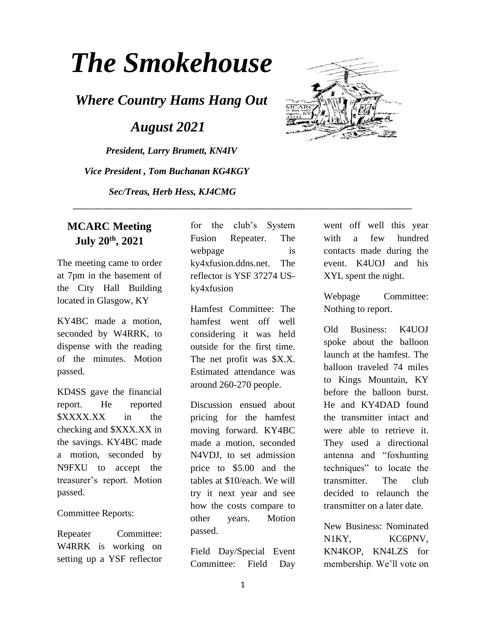# *The Smokehouse*

*Where Country Hams Hang Out*

 *August 2021*

*President, Larry Brumett, KN4IV Vice President , Tom Buchanan KG4KGY*

*Sec/Treas, Herb Hess, KJ4CMG*

#### **MCARC Meeting July 20th, 2021**

The meeting came to order at 7pm in the basement of the City Hall Building located in Glasgow, KY

KY4BC made a motion, seconded by W4RRK, to dispense with the reading of the minutes. Motion passed.

KD4SS gave the financial report. He reported \$XXXX.XX in the checking and \$XXX.XX in the savings. KY4BC made a motion, seconded by N9FXU to accept the treasurer's report. Motion passed.

Committee Reports:

Repeater Committee: W4RRK is working on setting up a YSF reflector

for the club's System Fusion Repeater. The webpage is ky4xfusion.ddns.net. The reflector is YSF 37274 USky4xfusion

\_\_\_\_\_\_\_\_\_\_\_\_\_\_\_\_\_\_\_\_\_\_\_\_\_\_\_\_\_\_\_\_\_\_\_\_\_\_\_\_\_\_\_\_\_\_\_\_\_\_\_\_\_\_\_\_\_\_\_\_\_\_\_\_\_\_\_\_\_\_\_\_\_\_\_\_\_\_

Hamfest Committee: The hamfest went off well considering it was held outside for the first time. The net profit was \$X.X. Estimated attendance was around 260-270 people.

Discussion ensued about pricing for the hamfest moving forward. KY4BC made a motion, seconded N4VDJ, to set admission price to \$5.00 and the tables at \$10/each. We will try it next year and see how the costs compare to other years. Motion passed.

Field Day/Special Event Committee: Field Day



went off well this year with a few hundred contacts made during the event. K4UOJ and his XYL spent the night.

Webpage Committee: Nothing to report.

Old Business: K4UOJ spoke about the balloon launch at the hamfest. The balloon traveled 74 miles to Kings Mountain, KY before the balloon burst. He and KY4DAD found the transmitter intact and were able to retrieve it. They used a directional antenna and "foxhunting techniques" to locate the transmitter. The club decided to relaunch the transmitter on a later date.

New Business: Nominated N1KY, KC6PNV, KN4KOP, KN4LZS for membership. We'll vote on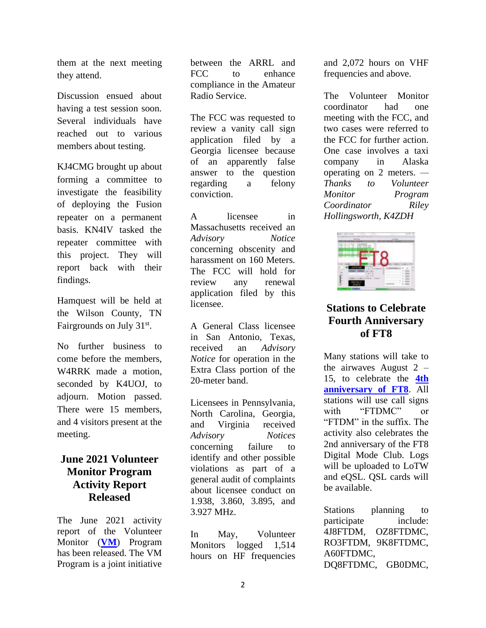them at the next meeting they attend.

Discussion ensued about having a test session soon. Several individuals have reached out to various members about testing.

KJ4CMG brought up about forming a committee to investigate the feasibility of deploying the Fusion repeater on a permanent basis. KN4IV tasked the repeater committee with this project. They will report back with their findings.

Hamquest will be held at the Wilson County, TN Fairgrounds on July 31<sup>st</sup>.

No further business to come before the members, W4RRK made a motion, seconded by K4UOJ, to adjourn. Motion passed. There were 15 members, and 4 visitors present at the meeting.

#### **June 2021 Volunteer Monitor Program Activity Report Released**

The June 2021 activity report of the Volunteer Monitor (**[VM](https://www.arrl.org/volunteer-monitor-program)**) Program has been released. The VM Program is a joint initiative

between the ARRL and FCC to enhance compliance in the Amateur Radio Service.

The FCC was requested to review a vanity call sign application filed by a Georgia licensee because of an apparently false answer to the question regarding a felony conviction.

A licensee in Massachusetts received an *Advisory Notice* concerning obscenity and harassment on 160 Meters. The FCC will hold for review any renewal application filed by this licensee.

A General Class licensee in San Antonio, Texas, received an *Advisory Notice* for operation in the Extra Class portion of the 20-meter band.

Licensees in Pennsylvania, North Carolina, Georgia, and Virginia received *Advisory Notices* concerning failure to identify and other possible violations as part of a general audit of complaints about licensee conduct on 1.938, 3.860, 3.895, and 3.927 MHz.

In May, Volunteer Monitors logged 1,514 hours on HF frequencies

and 2,072 hours on VHF frequencies and above.

The Volunteer Monitor coordinator had one meeting with the FCC, and two cases were referred to the FCC for further action. One case involves a taxi company in Alaska operating on 2 meters. *— Thanks to Volunteer Monitor Program Coordinator Riley Hollingsworth, K4ZDH*



#### **Stations to Celebrate Fourth Anniversary of FT8**

Many stations will take to the airwaves August  $2 -$ 15, to celebrate the **[4th](https://www.ft8dmc.eu/)  [anniversary of FT8](https://www.ft8dmc.eu/)**. All stations will use call signs with "FTDMC" or "FTDM" in the suffix. The activity also celebrates the 2nd anniversary of the FT8 Digital Mode Club. Logs will be uploaded to LoTW and eQSL. QSL cards will be available.

Stations planning to participate include: 4J8FTDM, OZ8FTDMC, RO3FTDM, 9K8FTDMC, A60FTDMC, DQ8FTDMC, GB0DMC,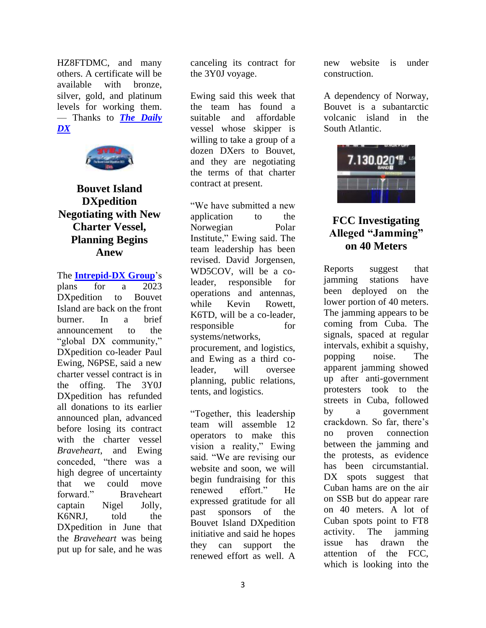HZ8FTDMC, and many others. A certificate will be available with bronze, silver, gold, and platinum levels for working them. — Thanks to *[The Daily](http://www.dailydx.com/)  [DX](http://www.dailydx.com/)*



## **Bouvet Island DXpedition Negotiating with New Charter Vessel, Planning Begins Anew**

The **[Intrepid-DX Group](https://intrepid-dx.com/)**'s

plans for a 2023 DXpedition to Bouvet Island are back on the front burner. In a brief announcement to the "global DX community," DXpedition co-leader Paul Ewing, N6PSE, said a new charter vessel contract is in the offing. The 3Y0J DXpedition has refunded all donations to its earlier announced plan, advanced before losing its contract with the charter vessel *Braveheart*, and Ewing conceded, "there was a high degree of uncertainty that we could move forward." Braveheart captain Nigel Jolly, K6NRJ, told the DXpedition in June that the *Braveheart* was being put up for sale, and he was

canceling its contract for the 3Y0J voyage.

Ewing said this week that the team has found a suitable and affordable vessel whose skipper is willing to take a group of a dozen DXers to Bouvet, and they are negotiating the terms of that charter contract at present.

"We have submitted a new application to the Norwegian Polar Institute," Ewing said. The team leadership has been revised. David Jorgensen, WD5COV, will be a coleader, responsible for operations and antennas, while Kevin Rowett, K6TD, will be a co-leader, responsible for systems/networks, procurement, and logistics, and Ewing as a third coleader, will oversee planning, public relations, tents, and logistics.

"Together, this leadership team will assemble 12 operators to make this vision a reality," Ewing said. "We are revising our website and soon, we will begin fundraising for this renewed effort." He expressed gratitude for all past sponsors of the Bouvet Island DXpedition initiative and said he hopes they can support the renewed effort as well. A

new website is under construction.

A dependency of Norway, Bouvet is a subantarctic volcanic island in the South Atlantic.



### **FCC Investigating Alleged "Jamming" on 40 Meters**

Reports suggest that jamming stations have been deployed on the lower portion of 40 meters. The jamming appears to be coming from Cuba. The signals, spaced at regular intervals, exhibit a squishy, popping noise. The apparent jamming showed up after anti-government protesters took to the streets in Cuba, followed by a government crackdown. So far, there's no proven connection between the jamming and the protests, as evidence has been circumstantial. DX spots suggest that Cuban hams are on the air on SSB but do appear rare on 40 meters. A lot of Cuban spots point to FT8 activity. The jamming issue has drawn the attention of the FCC, which is looking into the